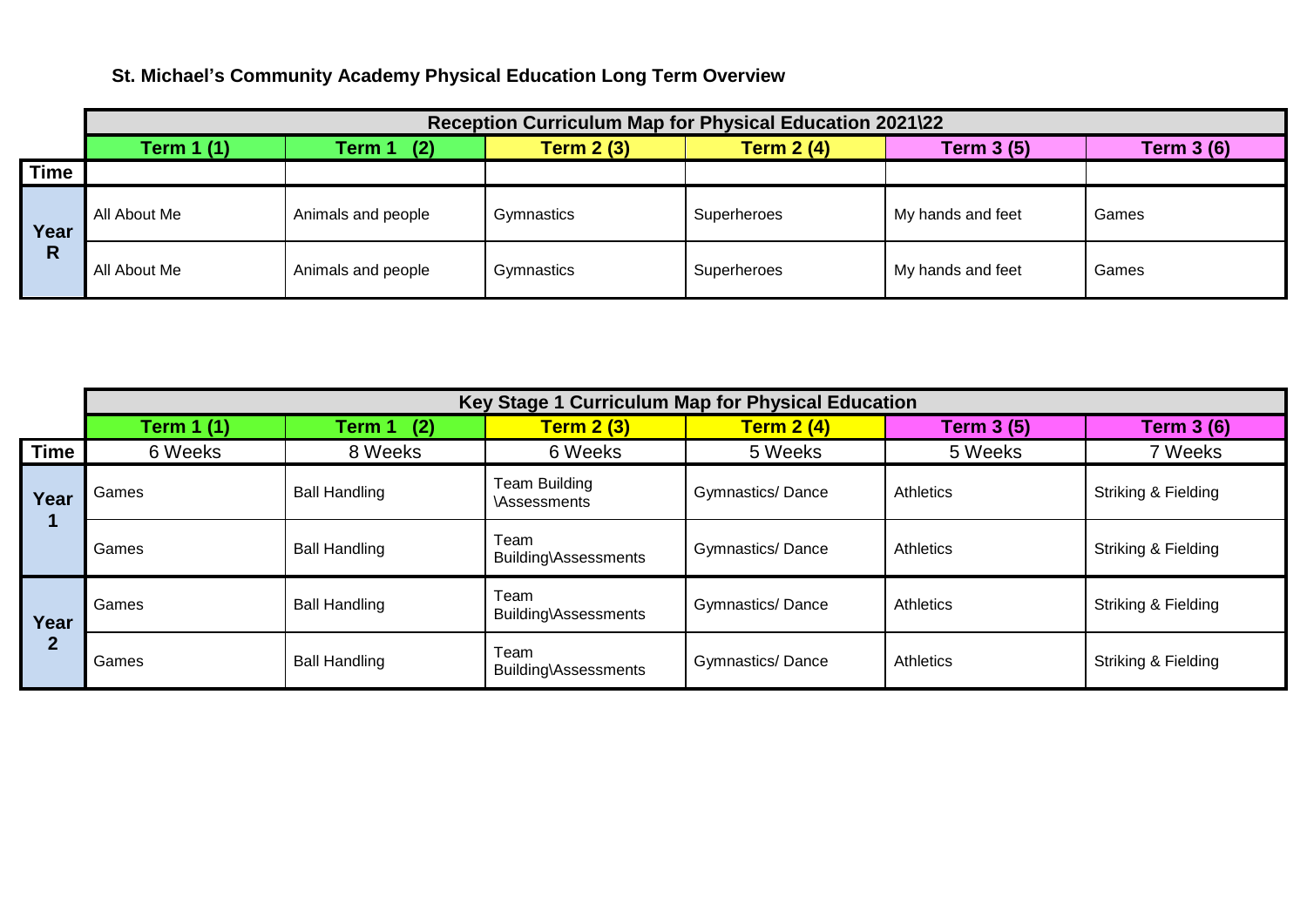## **St. Michael's Community Academy Physical Education Long Term Overview**

|             | Reception Curriculum Map for Physical Education 2021\22 |                    |                   |                   |                   |                   |  |
|-------------|---------------------------------------------------------|--------------------|-------------------|-------------------|-------------------|-------------------|--|
|             | <b>Term 1 (1)</b>                                       | (2)<br>Term 1      | <b>Term 2 (3)</b> | <b>Term 2 (4)</b> | <b>Term 3 (5)</b> | <b>Term 3 (6)</b> |  |
| <b>Time</b> |                                                         |                    |                   |                   |                   |                   |  |
| Year<br>R   | All About Me                                            | Animals and people | Gymnastics        | Superheroes       | My hands and feet | Games             |  |
|             | All About Me                                            | Animals and people | Gymnastics        | Superheroes       | My hands and feet | Games             |  |

|                      | Key Stage 1 Curriculum Map for Physical Education |                      |                                            |                         |            |                                |  |
|----------------------|---------------------------------------------------|----------------------|--------------------------------------------|-------------------------|------------|--------------------------------|--|
|                      | <b>Term 1 (1)</b>                                 | Term 1<br>(2)        | <b>Term 2 (3)</b>                          | <b>Term 2 (4)</b>       | Term 3 (5) | <b>Term 3 (6)</b>              |  |
| <b>Time</b>          | 6 Weeks                                           | 8 Weeks              | 6 Weeks                                    | 5 Weeks                 | 5 Weeks    | 7 Weeks                        |  |
| Year                 | Games                                             | <b>Ball Handling</b> | <b>Team Building</b><br><b>Assessments</b> | <b>Gymnastics/Dance</b> | Athletics  | Striking & Fielding            |  |
|                      | Games                                             | <b>Ball Handling</b> | Team<br>Building\Assessments               | <b>Gymnastics/Dance</b> | Athletics  | <b>Striking &amp; Fielding</b> |  |
| Year<br>$\mathbf{2}$ | Games                                             | <b>Ball Handling</b> | Team<br>Building\Assessments               | <b>Gymnastics/Dance</b> | Athletics  | Striking & Fielding            |  |
|                      | Games                                             | <b>Ball Handling</b> | Team<br>Building\Assessments               | <b>Gymnastics/Dance</b> | Athletics  | Striking & Fielding            |  |